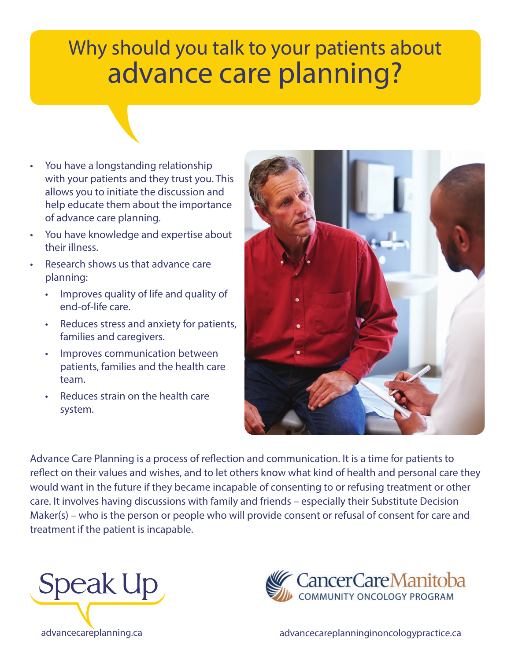## Why should you talk to your patients about advance care planning?

- You have a longstanding relationship with your patients and they trust you. This allows you to initiate the discussion and help educate them about the importance of advance care planning.
- You have knowledge and expertise about their illness.
- Research shows us that advance care planning:
	- Improves quality of life and quality of end-of-life care.
	- Reduces stress and anxiety for patients, families and caregivers.
	- Improves communication between patients, families and the health care team.
	- Reduces strain on the health care system.



Advance Care Planning is a process of reflection and communication. It is a time for patients to reflect on their values and wishes, and to let others know what kind of health and personal care they would want in the future if they became incapable of consenting to or refusing treatment or other care. It involves having discussions with family and friends – especially their Substitute Decision Maker(s) – who is the person or people who will provide consent or refusal of consent for care and treatment if the patient is incapable.





advancecareplanning.ca advancecareplanninginoncologypractice.ca